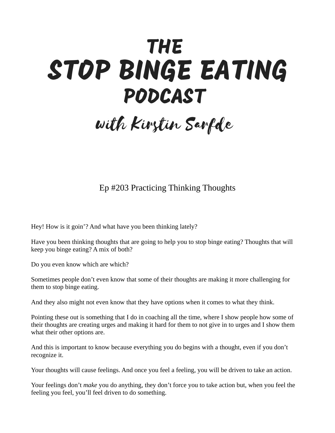## **THE** STOP BINGE EATING **PODCAST**

with Kirstin Sarfde

## Ep #203 Practicing Thinking Thoughts

Hey! How is it goin'? And what have you been thinking lately?

Have you been thinking thoughts that are going to help you to stop binge eating? Thoughts that will keep you binge eating? A mix of both?

Do you even know which are which?

Sometimes people don't even know that some of their thoughts are making it more challenging for them to stop binge eating.

And they also might not even know that they have options when it comes to what they think.

Pointing these out is something that I do in coaching all the time, where I show people how some of their thoughts are creating urges and making it hard for them to not give in to urges and I show them what their other options are.

And this is important to know because everything you do begins with a thought, even if you don't recognize it.

Your thoughts will cause feelings. And once you feel a feeling, you will be driven to take an action.

Your feelings don't *make* you do anything, they don't force you to take action but, when you feel the feeling you feel, you'll feel driven to do something.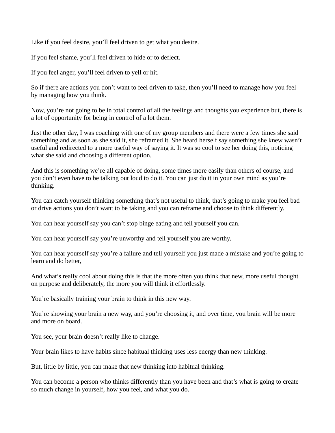Like if you feel desire, you'll feel driven to get what you desire.

If you feel shame, you'll feel driven to hide or to deflect.

If you feel anger, you'll feel driven to yell or hit.

So if there are actions you don't want to feel driven to take, then you'll need to manage how you feel by managing how you think.

Now, you're not going to be in total control of all the feelings and thoughts you experience but, there is a lot of opportunity for being in control of a lot them.

Just the other day, I was coaching with one of my group members and there were a few times she said something and as soon as she said it, she reframed it. She heard herself say something she knew wasn't useful and redirected to a more useful way of saying it. It was so cool to see her doing this, noticing what she said and choosing a different option.

And this is something we're all capable of doing, some times more easily than others of course, and you don't even have to be talking out loud to do it. You can just do it in your own mind as you're thinking.

You can catch yourself thinking something that's not useful to think, that's going to make you feel bad or drive actions you don't want to be taking and you can reframe and choose to think differently.

You can hear yourself say you can't stop binge eating and tell yourself you can.

You can hear yourself say you're unworthy and tell yourself you are worthy.

You can hear yourself say you're a failure and tell yourself you just made a mistake and you're going to learn and do better,

And what's really cool about doing this is that the more often you think that new, more useful thought on purpose and deliberately, the more you will think it effortlessly.

You're basically training your brain to think in this new way.

You're showing your brain a new way, and you're choosing it, and over time, you brain will be more and more on board.

You see, your brain doesn't really like to change.

Your brain likes to have habits since habitual thinking uses less energy than new thinking.

But, little by little, you can make that new thinking into habitual thinking.

You can become a person who thinks differently than you have been and that's what is going to create so much change in yourself, how you feel, and what you do.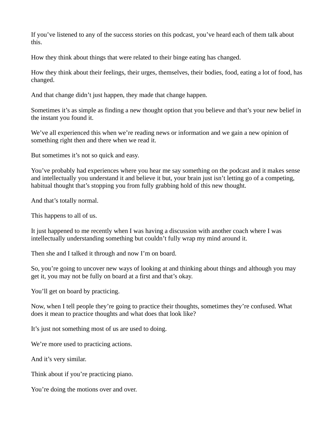If you've listened to any of the success stories on this podcast, you've heard each of them talk about this.

How they think about things that were related to their binge eating has changed.

How they think about their feelings, their urges, themselves, their bodies, food, eating a lot of food, has changed.

And that change didn't just happen, they made that change happen.

Sometimes it's as simple as finding a new thought option that you believe and that's your new belief in the instant you found it.

We've all experienced this when we're reading news or information and we gain a new opinion of something right then and there when we read it.

But sometimes it's not so quick and easy.

You've probably had experiences where you hear me say something on the podcast and it makes sense and intellectually you understand it and believe it but, your brain just isn't letting go of a competing, habitual thought that's stopping you from fully grabbing hold of this new thought.

And that's totally normal.

This happens to all of us.

It just happened to me recently when I was having a discussion with another coach where I was intellectually understanding something but couldn't fully wrap my mind around it.

Then she and I talked it through and now I'm on board.

So, you're going to uncover new ways of looking at and thinking about things and although you may get it, you may not be fully on board at a first and that's okay.

You'll get on board by practicing.

Now, when I tell people they're going to practice their thoughts, sometimes they're confused. What does it mean to practice thoughts and what does that look like?

It's just not something most of us are used to doing.

We're more used to practicing actions.

And it's very similar.

Think about if you're practicing piano.

You're doing the motions over and over.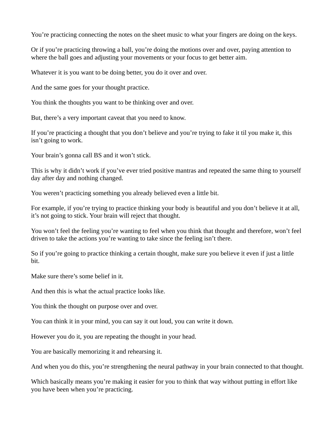You're practicing connecting the notes on the sheet music to what your fingers are doing on the keys.

Or if you're practicing throwing a ball, you're doing the motions over and over, paying attention to where the ball goes and adjusting your movements or your focus to get better aim.

Whatever it is you want to be doing better, you do it over and over.

And the same goes for your thought practice.

You think the thoughts you want to be thinking over and over.

But, there's a very important caveat that you need to know.

If you're practicing a thought that you don't believe and you're trying to fake it til you make it, this isn't going to work.

Your brain's gonna call BS and it won't stick.

This is why it didn't work if you've ever tried positive mantras and repeated the same thing to yourself day after day and nothing changed.

You weren't practicing something you already believed even a little bit.

For example, if you're trying to practice thinking your body is beautiful and you don't believe it at all, it's not going to stick. Your brain will reject that thought.

You won't feel the feeling you're wanting to feel when you think that thought and therefore, won't feel driven to take the actions you're wanting to take since the feeling isn't there.

So if you're going to practice thinking a certain thought, make sure you believe it even if just a little bit.

Make sure there's some belief in it.

And then this is what the actual practice looks like.

You think the thought on purpose over and over.

You can think it in your mind, you can say it out loud, you can write it down.

However you do it, you are repeating the thought in your head.

You are basically memorizing it and rehearsing it.

And when you do this, you're strengthening the neural pathway in your brain connected to that thought.

Which basically means you're making it easier for you to think that way without putting in effort like you have been when you're practicing.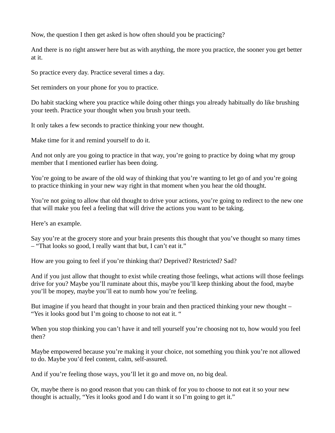Now, the question I then get asked is how often should you be practicing?

And there is no right answer here but as with anything, the more you practice, the sooner you get better at it.

So practice every day. Practice several times a day.

Set reminders on your phone for you to practice.

Do habit stacking where you practice while doing other things you already habitually do like brushing your teeth. Practice your thought when you brush your teeth.

It only takes a few seconds to practice thinking your new thought.

Make time for it and remind yourself to do it.

And not only are you going to practice in that way, you're going to practice by doing what my group member that I mentioned earlier has been doing.

You're going to be aware of the old way of thinking that you're wanting to let go of and you're going to practice thinking in your new way right in that moment when you hear the old thought.

You're not going to allow that old thought to drive your actions, you're going to redirect to the new one that will make you feel a feeling that will drive the actions you want to be taking.

Here's an example.

Say you're at the grocery store and your brain presents this thought that you've thought so many times – "That looks so good, I really want that but, I can't eat it."

How are you going to feel if you're thinking that? Deprived? Restricted? Sad?

And if you just allow that thought to exist while creating those feelings, what actions will those feelings drive for you? Maybe you'll ruminate about this, maybe you'll keep thinking about the food, maybe you'll be mopey, maybe you'll eat to numb how you're feeling.

But imagine if you heard that thought in your brain and then practiced thinking your new thought – "Yes it looks good but I'm going to choose to not eat it. "

When you stop thinking you can't have it and tell yourself you're choosing not to, how would you feel then?

Maybe empowered because you're making it your choice, not something you think you're not allowed to do. Maybe you'd feel content, calm, self-assured.

And if you're feeling those ways, you'll let it go and move on, no big deal.

Or, maybe there is no good reason that you can think of for you to choose to not eat it so your new thought is actually, "Yes it looks good and I do want it so I'm going to get it."